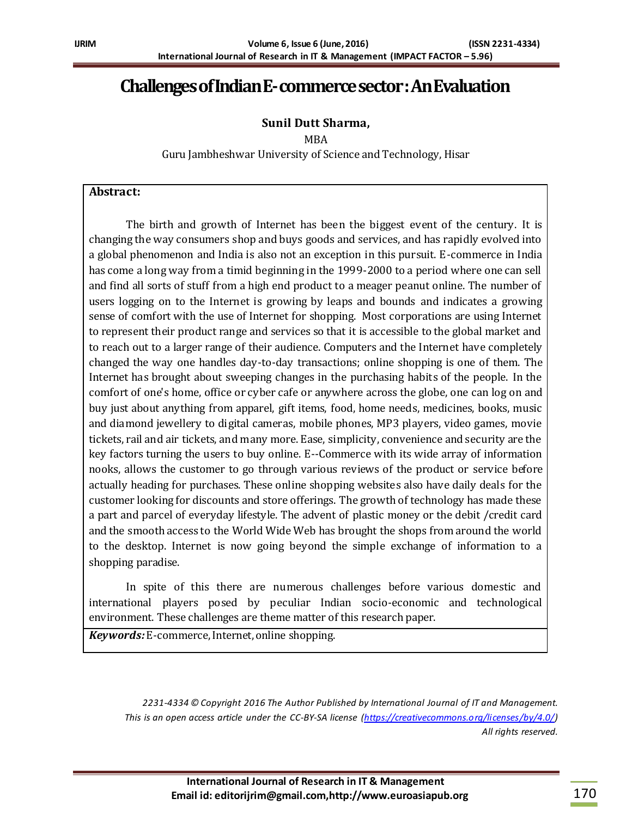# **Challenges of Indian E-commerce sector :AnEvaluation**

## **Sunil Dutt Sharma,**

MBA

Guru Jambheshwar University of Science and Technology, Hisar

#### **Abstract:**

The birth and growth of Internet has been the biggest event of the century. It is changing the way consumers shop and buys goods and services, and has rapidly evolved into a global phenomenon and India is also not an exception in this pursuit. E-commerce in India has come a long way from a timid beginning in the 1999-2000 to a period where one can sell and find all sorts of stuff from a high end product to a meager peanut online. The number of users logging on to the Internet is growing by leaps and bounds and indicates a growing sense of comfort with the use of Internet for shopping. Most corporations are using Internet to represent their product range and services so that it is accessible to the global market and to reach out to a larger range of their audience. Computers and the Internet have completely changed the way one handles day-to-day transactions; online shopping is one of them. The Internet has brought about sweeping changes in the purchasing habits of the people. In the comfort of one's home, office or cyber cafe or anywhere across the globe, one can log on and buy just about anything from apparel, gift items, food, home needs, medicines, books, music and diamond jewellery to digital cameras, mobile phones, MP3 players, video games, movie tickets, rail and air tickets, and many more. Ease, simplicity, convenience and security are the key factors turning the users to buy online. E--Commerce with its wide array of information nooks, allows the customer to go through various reviews of the product or service before actually heading for purchases. These online shopping websites also have daily deals for the customer looking for discounts and store offerings. The growth of technology has made these a part and parcel of everyday lifestyle. The advent of plastic money or the debit /credit card and the smooth access to the World Wide Web has brought the shops from around the world to the desktop. Internet is now going beyond the simple exchange of information to a shopping paradise.

In spite of this there are numerous challenges before various domestic and international players posed by peculiar Indian socio-economic and technological environment. These challenges are theme matter of this research paper.

*Keywords:* E-commerce,Internet, online shopping.

*2231-4334 © Copyright 2016 The Author Published by International Journal of IT and Management. This is an open access article under the CC-BY-SA license [\(https://creativecommons.org/licenses/by/4.0/\)](https://creativecommons.org/licenses/by/4.0/) All rights reserved.*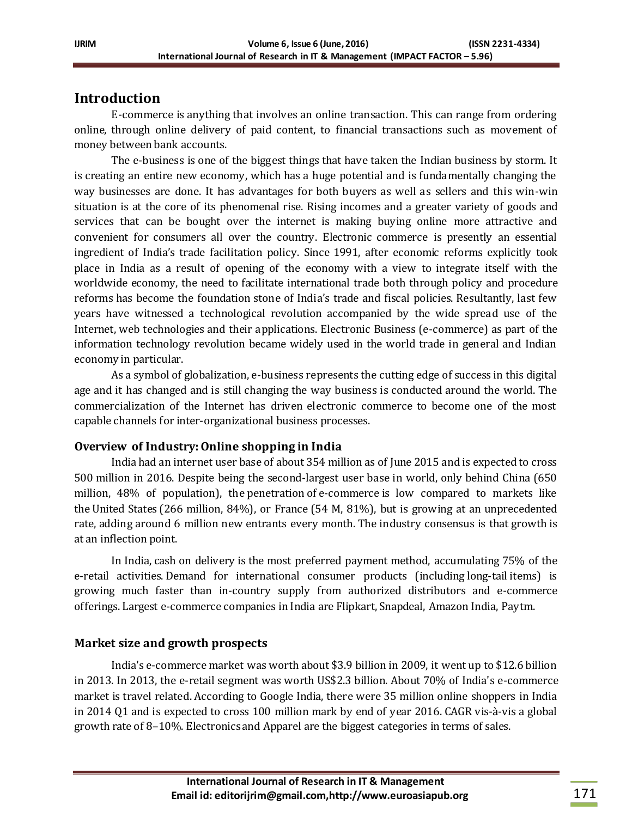## **Introduction**

E-commerce is anything that involves an online transaction. This can range from ordering online, through online delivery of paid content, to financial transactions such as movement of money between bank accounts.

The e-business is one of the biggest things that have taken the Indian business by storm. It is creating an entire new economy, which has a huge potential and is fundamentally changing the way businesses are done. It has advantages for both buyers as well as sellers and this win-win situation is at the core of its phenomenal rise. Rising incomes and a greater variety of goods and services that can be bought over the internet is making buying online more attractive and convenient for consumers all over the country. Electronic commerce is presently an essential ingredient of India's trade facilitation policy. Since 1991, after economic reforms explicitly took place in India as a result of opening of the economy with a view to integrate itself with the worldwide economy, the need to facilitate international trade both through policy and procedure reforms has become the foundation stone of India's trade and fiscal policies. Resultantly, last few years have witnessed a technological revolution accompanied by the wide spread use of the Internet, web technologies and their applications. Electronic Business (e-commerce) as part of the information technology revolution became widely used in the world trade in general and Indian economy in particular.

As a symbol of globalization, e-business represents the cutting edge of success in this digital age and it has changed and is still changing the way business is conducted around the world. The commercialization of the Internet has driven electronic commerce to become one of the most capable channels for inter-organizational business processes.

## **Overview of Industry:Online shopping in India**

India had an internet user base of about 354 million as of June 2015 and is expected to cross 500 million in 2016. Despite being the second-largest user base in world, only behind China (650 million, 48% of population), the penetration of e-commerce is low compared to markets like the United States (266 million, 84%), or France (54 M, 81%), but is growing at an unprecedented rate, adding around 6 million new entrants every month. The industry consensus is that growth is at an inflection point.

In India, cash on delivery is the most preferred payment method, accumulating 75% of the e-retail activities. Demand for international consumer products (including long-tail items) is growing much faster than in-country supply from authorized distributors and e-commerce offerings. Largest e-commerce companies in India are Flipkart, Snapdeal, Amazon India, Paytm.

## **Market size and growth prospects**

India's e-commerce market was worth about \$3.9 billion in 2009, it went up to \$12.6 billion in 2013. In 2013, the e-retail segment was worth US\$2.3 billion. About 70% of India's e-commerce market is travel related. According to Google India, there were 35 million online shoppers in India in 2014 Q1 and is expected to cross 100 million mark by end of year 2016. CAGR vis-à-vis a global growth rate of 8–10%. Electronics and Apparel are the biggest categories in terms of sales.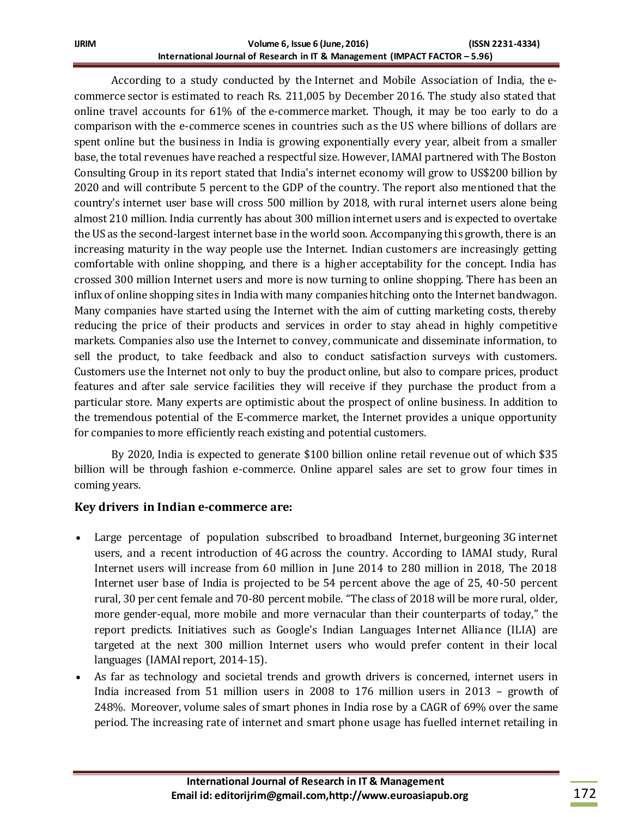According to a study conducted by the Internet and Mobile Association of India, the ecommerce sector is estimated to reach Rs. 211,005 by December 2016. The study also stated that online travel accounts for 61% of the e-commerce market. Though, it may be too early to do a comparison with the e-commerce scenes in countries such as the US where billions of dollars are spent online but the business in India is growing exponentially every year, albeit from a smaller base, the total revenues have reached a respectful size. However, IAMAI partnered with The Boston Consulting Group in its report stated that India's internet economy will grow to US\$200 billion by 2020 and will contribute 5 percent to the GDP of the country. The report also mentioned that the country's internet user base will cross 500 million by 2018, with rural internet users alone being almost 210 million. India currently has about 300 million internet users and is expected to overtake the US as the second-largest internet base in the world soon. Accompanying this growth, there is an increasing maturity in the way people use the Internet. Indian customers are increasingly getting comfortable with online shopping, and there is a higher acceptability for the concept. India has crossed 300 million Internet users and more is now turning to online shopping. There has been an influx of online shopping sites in India with many companies hitching onto the Internet bandwagon. Many companies have started using the Internet with the aim of cutting marketing costs, thereby reducing the price of their products and services in order to stay ahead in highly competitive markets. Companies also use the Internet to convey, communicate and disseminate information, to sell the product, to take feedback and also to conduct satisfaction surveys with customers. Customers use the Internet not only to buy the product online, but also to compare prices, product features and after sale service facilities they will receive if they purchase the product from a particular store. Many experts are optimistic about the prospect of online business. In addition to the tremendous potential of the E-commerce market, the Internet provides a unique opportunity for companies to more efficiently reach existing and potential customers.

By 2020, India is expected to generate \$100 billion online retail revenue out of which \$35 billion will be through fashion e-commerce. Online apparel sales are set to grow four times in coming years.

## **Key drivers in Indian e-commerce are:**

- Large percentage of population subscribed to broadband Internet, burgeoning 3G internet users, and a recent introduction of 4G across the country. According to IAMAI study, Rural Internet users will increase from 60 million in June 2014 to 280 million in 2018, The 2018 Internet user base of India is projected to be 54 percent above the age of 25, 40-50 percent rural, 30 per cent female and 70-80 percent mobile. "The class of 2018 will be more rural, older, more gender-equal, more mobile and more vernacular than their counterparts of today," the report predicts. Initiatives such as Google's Indian Languages Internet Alliance (ILIA) are targeted at the next 300 million Internet users who would prefer content in their local languages (IAMAI report, 2014-15).
- As far as technology and societal trends and growth drivers is concerned, internet users in India increased from 51 million users in 2008 to 176 million users in 2013 – growth of 248%. Moreover, volume sales of smart phones in India rose by a CAGR of 69% over the same period. The increasing rate of internet and smart phone usage has fuelled internet retailing in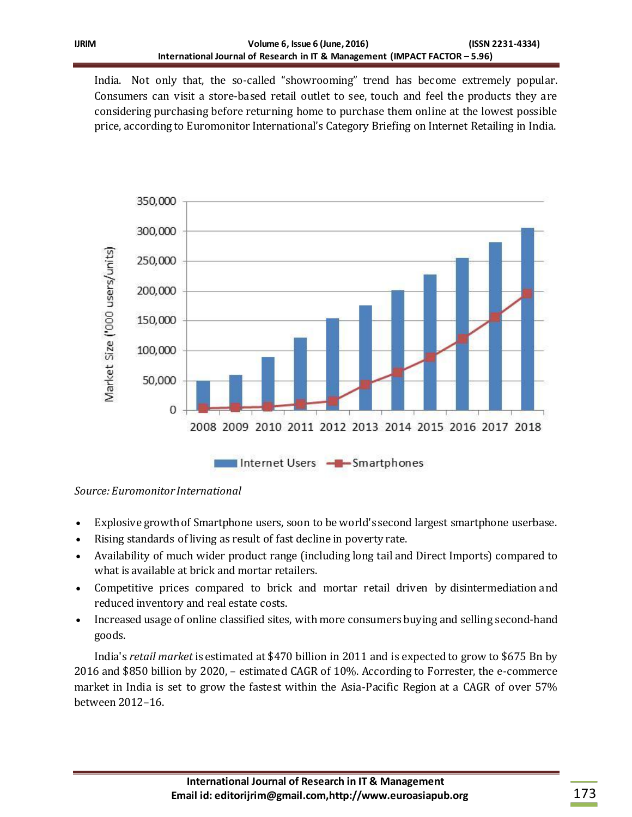India. Not only that, the so-called "showrooming" trend has become extremely popular. Consumers can visit a store-based retail outlet to see, touch and feel the products they are considering purchasing before returning home to purchase them online at the lowest possible price, according to Euromonitor International's Category Briefing on Internet Retailing in India.



*Source: Euromonitor International*

- Explosive growth of Smartphone users, soon to be world's second largest smartphone userbase.
- Rising standards of living as result of fast decline in poverty rate.
- Availability of much wider product range (including long tail and Direct Imports) compared to what is available at brick and mortar retailers.
- Competitive prices compared to brick and mortar retail driven by disintermediation and reduced inventory and real estate costs.
- Increased usage of online classified sites, with more consumers buying and selling second-hand goods.

India's *retail market* is estimated at \$470 billion in 2011 and is expected to grow to \$675 Bn by 2016 and \$850 billion by 2020, – estimated CAGR of 10%. According to Forrester, the e-commerce market in India is set to grow the fastest within the Asia-Pacific Region at a CAGR of over 57% between 2012–16.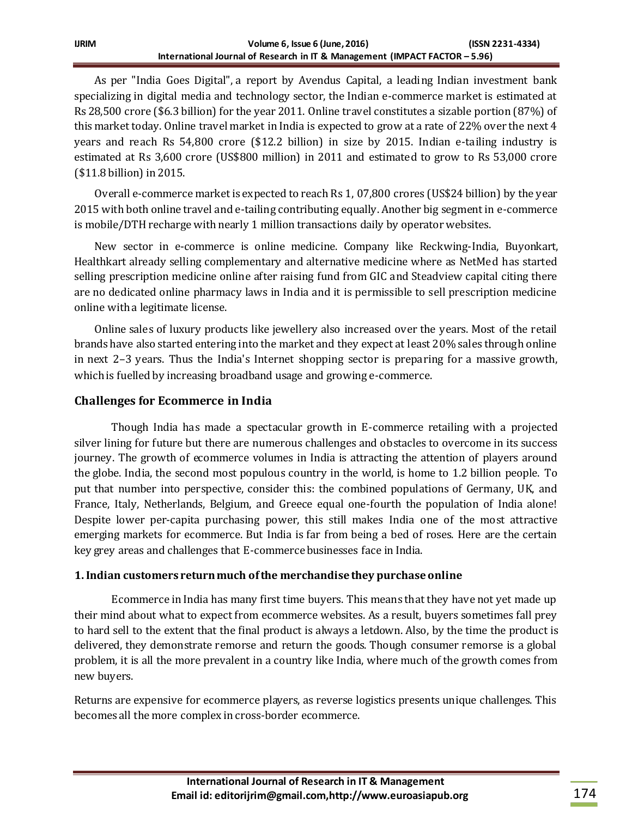As per "India Goes Digital", a report by Avendus Capital, a leading Indian investment bank specializing in digital media and technology sector, the Indian e-commerce market is estimated at Rs 28,500 crore (\$6.3 billion) for the year 2011. Online travel constitutes a sizable portion (87%) of this market today. Online travel market in India is expected to grow at a rate of 22% over the next 4 years and reach Rs 54,800 crore (\$12.2 billion) in size by 2015. Indian e-tailing industry is estimated at Rs 3,600 crore (US\$800 million) in 2011 and estimated to grow to Rs 53,000 crore (\$11.8 billion) in 2015.

Overall e-commerce market is expected to reach Rs 1, 07,800 crores (US\$24 billion) by the year 2015 with both online travel and e-tailing contributing equally. Another big segment in e-commerce is mobile/DTH recharge with nearly 1 million transactions daily by operator websites.

New sector in e-commerce is online medicine. Company like Reckwing-India, Buyonkart, Healthkart already selling complementary and alternative medicine where as NetMed has started selling prescription medicine online after raising fund from GIC and Steadview capital citing there are no dedicated online pharmacy laws in India and it is permissible to sell prescription medicine online with a legitimate license.

Online sales of luxury products like jewellery also increased over the years. Most of the retail brands have also started entering into the market and they expect at least 20% sales through online in next 2–3 years. Thus the India's Internet shopping sector is preparing for a massive growth, which is fuelled by increasing broadband usage and growing e-commerce.

## **Challenges for Ecommerce in India**

Though India has made a spectacular growth in E-commerce retailing with a projected silver lining for future but there are numerous challenges and obstacles to overcome in its success journey. The growth of ecommerce volumes in India is attracting the attention of players around the globe. India, the second most populous country in the world, is home to 1.2 billion people. To put that number into perspective, consider this: the combined populations of Germany, UK, and France, Italy, Netherlands, Belgium, and Greece equal one-fourth the population of India alone! Despite lower per-capita purchasing power, this still makes India one of the most attractive emerging markets for ecommerce. But India is far from being a bed of roses. Here are the certain key grey areas and challenges that E-commerce businesses face in India.

## **1. Indian customers return much of the merchandise they purchase online**

Ecommerce in India has many first time buyers. This means that they have not yet made up their mind about what to expect from ecommerce websites. As a result, buyers sometimes fall prey to hard sell to the extent that the final product is always a letdown. Also, by the time the product is delivered, they demonstrate remorse and return the goods. Though consumer remorse is a global problem, it is all the more prevalent in a country like India, where much of the growth comes from new buyers.

Returns are expensive for ecommerce players, as reverse logistics presents unique challenges. This becomes all the more complex in cross-border ecommerce.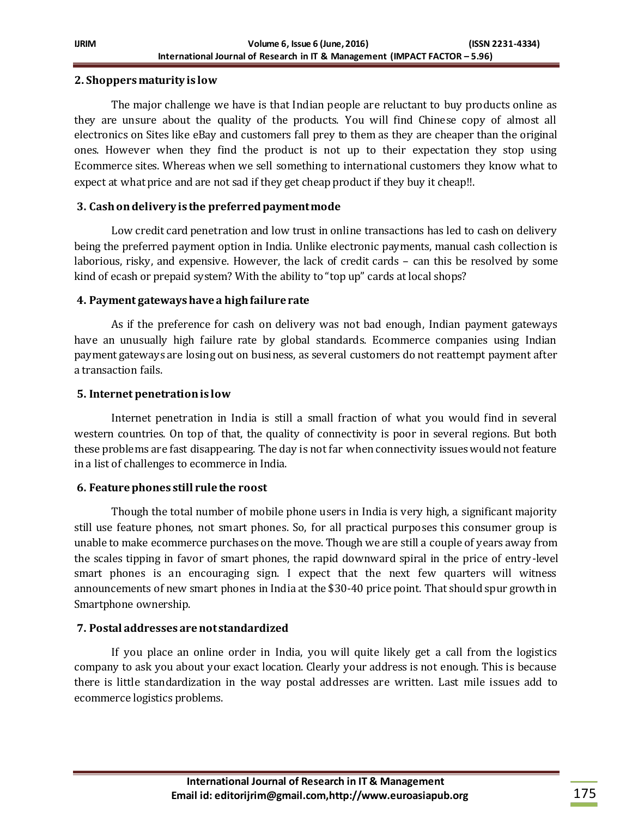#### **2. Shoppers maturity is low**

The major challenge we have is that Indian people are reluctant to buy products online as they are unsure about the quality of the products. You will find Chinese copy of almost all electronics on Sites like eBay and customers fall prey to them as they are cheaper than the original ones. However when they find the product is not up to their expectation they stop using Ecommerce sites. Whereas when we sell something to international customers they know what to expect at what price and are not sad if they get cheap product if they buy it cheap!!.

#### **3. Cash on delivery is the preferred payment mode**

Low credit card penetration and low trust in online transactions has led to cash on delivery being the preferred payment option in India. Unlike electronic payments, manual cash collection is laborious, risky, and expensive. However, the lack of credit cards – can this be resolved by some kind of ecash or prepaid system? With the ability to "top up" cards at local shops?

#### **4. Payment gateways have a high failure rate**

As if the preference for cash on delivery was not bad enough, Indian payment gateways have an unusually high failure rate by global standards. Ecommerce companies using Indian payment gateways are losing out on business, as several customers do not reattempt payment after a transaction fails.

#### **5. Internet penetration is low**

Internet penetration in India is still a small fraction of what you would find in several western countries. On top of that, the quality of connectivity is poor in several regions. But both these problems are fast disappearing. The day is not far when connectivity issues would not feature in a list of challenges to ecommerce in India.

## **6. Feature phones still rule the roost**

Though the total number of mobile phone users in India is very high, a significant majority still use feature phones, not smart phones. So, for all practical purposes this consumer group is unable to make ecommerce purchases on the move. Though we are still a couple of years away from the scales tipping in favor of smart phones, the rapid downward spiral in the price of entry-level smart phones is an encouraging sign. I expect that the next few quarters will witness announcements of new smart phones in India at the \$30-40 price point. That should spur growth in Smartphone ownership.

## **7. Postal addresses are not standardized**

If you place an online order in India, you will quite likely get a call from the logistics company to ask you about your exact location. Clearly your address is not enough. This is because there is little standardization in the way postal addresses are written. Last mile issues add to ecommerce logistics problems.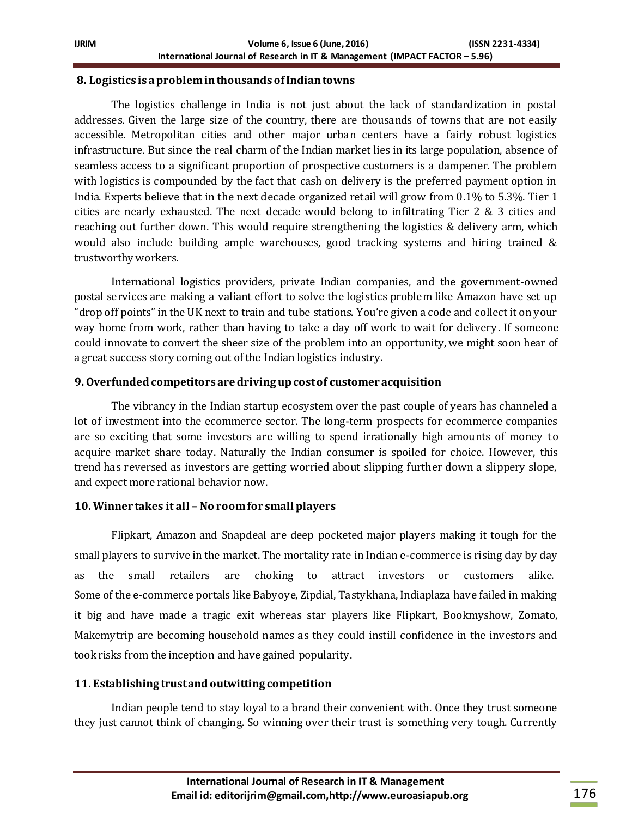#### **8. Logistics is a problem in thousands of Indian towns**

The logistics challenge in India is not just about the lack of standardization in postal addresses. Given the large size of the country, there are thousands of towns that are not easily accessible. Metropolitan cities and other major urban centers have a fairly robust logistics infrastructure. But since the real charm of the Indian market lies in its large population, absence of seamless access to a significant proportion of prospective customers is a dampener. The problem with logistics is compounded by the fact that cash on delivery is the preferred payment option in India. Experts believe that in the next decade organized retail will grow from 0.1% to 5.3%. Tier 1 cities are nearly exhausted. The next decade would belong to infiltrating Tier 2 & 3 cities and reaching out further down. This would require strengthening the logistics & delivery arm, which would also include building ample warehouses, good tracking systems and hiring trained & trustworthy workers.

International logistics providers, private Indian companies, and the government-owned postal services are making a valiant effort to solve the logistics problem like Amazon have set up "drop off points" in the UK next to train and tube stations. You're given a code and collect it on your way home from work, rather than having to take a day off work to wait for delivery. If someone could innovate to convert the sheer size of the problem into an opportunity, we might soon hear of a great success story coming out of the Indian logistics industry.

#### **9. Overfunded competitors are driving up cost of customer acquisition**

The vibrancy in the Indian startup ecosystem over the past couple of years has channeled a lot of investment into the ecommerce sector. The long-term prospects for ecommerce companies are so exciting that some investors are willing to spend irrationally high amounts of money to acquire market share today. Naturally the Indian consumer is spoiled for choice. However, this trend has reversed as investors are getting worried about slipping further down a slippery slope, and expect more rational behavior now.

## **10. Winner takes it all – No room for small players**

Flipkart, Amazon and Snapdeal are deep pocketed major players making it tough for the small players to survive in the market. The mortality rate in Indian e-commerce is rising day by day as the small retailers are choking to attract investors or customers alike. Some of the e-commerce portals like Babyoye, Zipdial, Tastykhana, Indiaplaza have failed in making it big and have made a tragic exit whereas star players like Flipkart, Bookmyshow, Zomato, Makemytrip are becoming household names as they could instill confidence in the investors and took risks from the inception and have gained popularity.

#### **11. Establishing trust and outwitting competition**

Indian people tend to stay loyal to a brand their convenient with. Once they trust someone they just cannot think of changing. So winning over their trust is something very tough. Currently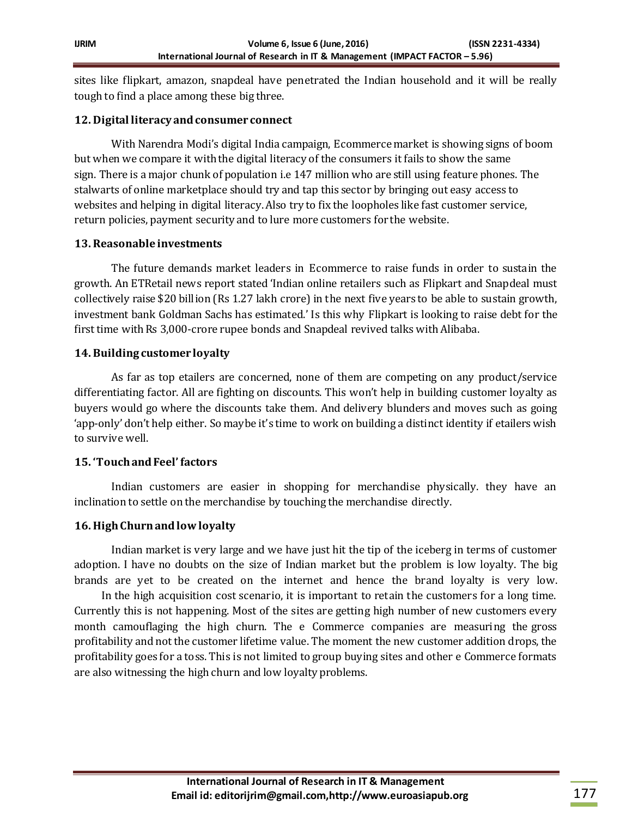sites like flipkart, amazon, snapdeal have penetrated the Indian household and it will be really tough to find a place among these big three.

#### **12. Digital literacy and consumer connect**

With Narendra Modi's digital India campaign, Ecommercemarket is showing signs of boom but when we compare it with the digital literacy of the consumers it fails to show the same sign. There is a major chunk of population i.e 147 million who are still using feature phones. The stalwarts of online marketplace should try and tap this sector by bringing out easy access to websites and helping in digital literacy.Also try to fix the loopholes like fast customer service, return policies, payment security and to lure more customers for the website.

#### **13. Reasonable investments**

The future demands market leaders in Ecommerce to raise funds in order to sustain the growth. An ETRetail news report stated 'Indian online retailers such as Flipkart and Snapdeal must collectively raise \$20 billion (Rs 1.27 lakh crore) in the next five years to be able to sustain growth, investment bank Goldman Sachs has estimated.' Is this why Flipkart is looking to raise debt for the first time with Rs 3,000-crore rupee bonds and Snapdeal revived talks with Alibaba.

#### **14. Building customer loyalty**

As far as top etailers are concerned, none of them are competing on any product/service differentiating factor. All are fighting on discounts. This won't help in building customer loyalty as buyers would go where the discounts take them. And delivery blunders and moves such as going 'app-only' don't help either. So maybe it's time to work on building a distinct identity if etailers wish to survive well.

## **15. 'Touch and Feel' factors**

Indian customers are easier in shopping for merchandise physically. they have an inclination to settle on the merchandise by touching the merchandise directly.

## **16. High Churn and low loyalty**

Indian market is very large and we have just hit the tip of the iceberg in terms of customer adoption. I have no doubts on the size of Indian market but the problem is low loyalty. The big brands are yet to be created on the internet and hence the brand loyalty is very low.

 In the high acquisition cost scenario, it is important to retain the customers for a long time. Currently this is not happening. Most of the sites are getting high number of new customers every month camouflaging the high churn. The e Commerce companies are measuring the gross profitability and not the customer lifetime value. The moment the new customer addition drops, the profitability goes for a toss. This is not limited to group buying sites and other e Commerce formats are also witnessing the high churn and low loyalty problems.